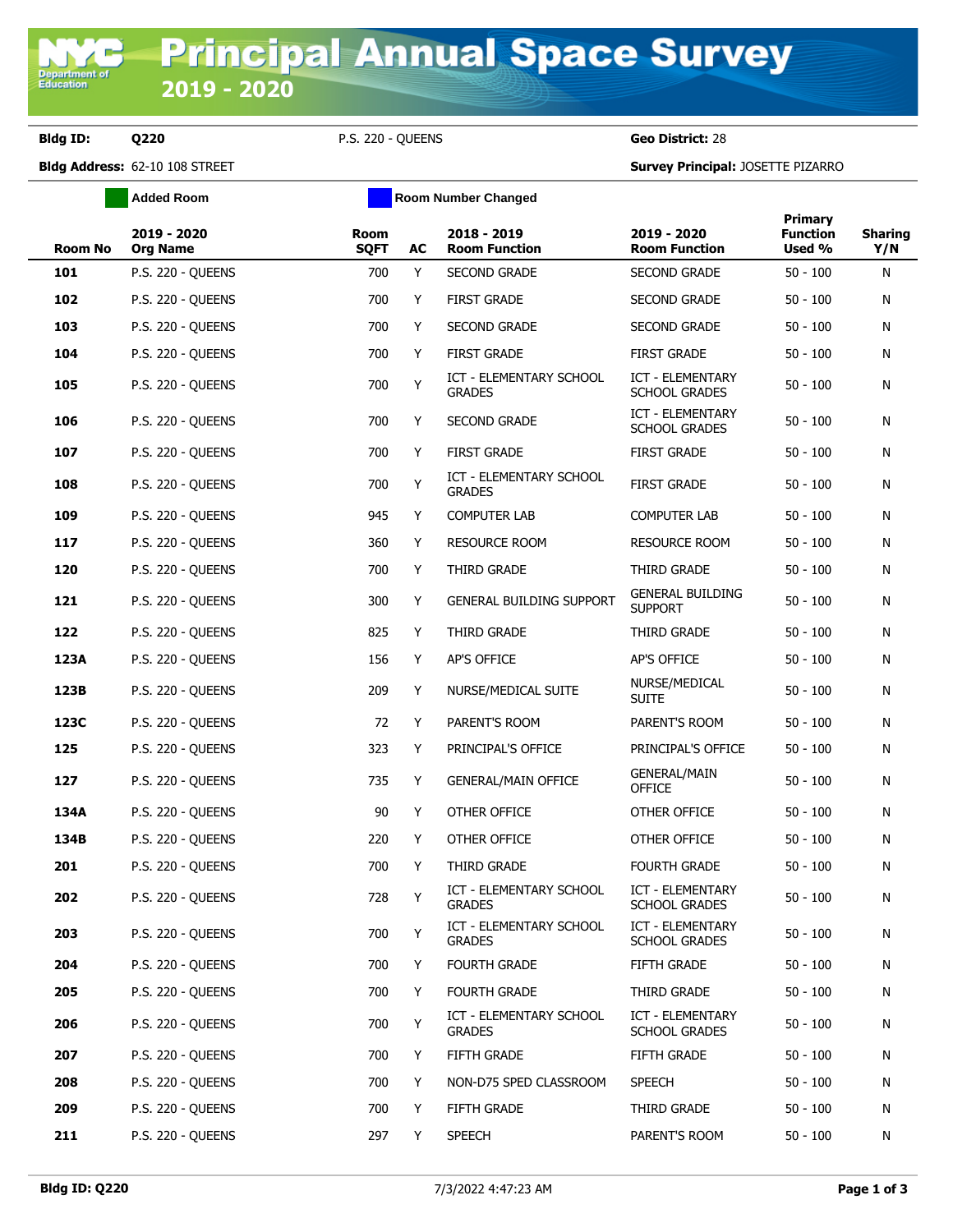**Department o**<br>Education

**Bldg ID: Q220** P.S. 220 - QUEENS **Geo District:** 28

**Bldg Address:** 62-10 108 STREET **Survey Principal:** JOSETTE PIZARRO

|         | <b>Added Room</b>              | <b>Room Number Changed</b> |    |                                          |                                                 |                                      |                       |
|---------|--------------------------------|----------------------------|----|------------------------------------------|-------------------------------------------------|--------------------------------------|-----------------------|
| Room No | 2019 - 2020<br><b>Org Name</b> | <b>Room</b><br><b>SQFT</b> | AC | 2018 - 2019<br><b>Room Function</b>      | 2019 - 2020<br><b>Room Function</b>             | Primary<br><b>Function</b><br>Used % | <b>Sharing</b><br>Y/N |
| 101     | P.S. 220 - QUEENS              | 700                        | Y  | <b>SECOND GRADE</b>                      | <b>SECOND GRADE</b>                             | $50 - 100$                           | N                     |
| 102     | P.S. 220 - QUEENS              | 700                        | Y  | <b>FIRST GRADE</b>                       | <b>SECOND GRADE</b>                             | $50 - 100$                           | N                     |
| 103     | <b>P.S. 220 - QUEENS</b>       | 700                        | Y  | <b>SECOND GRADE</b>                      | <b>SECOND GRADE</b>                             | $50 - 100$                           | N                     |
| 104     | <b>P.S. 220 - QUEENS</b>       | 700                        | Y  | <b>FIRST GRADE</b>                       | <b>FIRST GRADE</b>                              | $50 - 100$                           | N                     |
| 105     | <b>P.S. 220 - QUEENS</b>       | 700                        | Y  | ICT - ELEMENTARY SCHOOL<br><b>GRADES</b> | <b>ICT - ELEMENTARY</b><br><b>SCHOOL GRADES</b> | $50 - 100$                           | N                     |
| 106     | <b>P.S. 220 - QUEENS</b>       | 700                        | Y  | <b>SECOND GRADE</b>                      | <b>ICT - ELEMENTARY</b><br><b>SCHOOL GRADES</b> | $50 - 100$                           | N                     |
| 107     | <b>P.S. 220 - QUEENS</b>       | 700                        | Y  | <b>FIRST GRADE</b>                       | <b>FIRST GRADE</b>                              | $50 - 100$                           | N                     |
| 108     | <b>P.S. 220 - QUEENS</b>       | 700                        | Y  | ICT - ELEMENTARY SCHOOL<br><b>GRADES</b> | <b>FIRST GRADE</b>                              | $50 - 100$                           | N                     |
| 109     | P.S. 220 - QUEENS              | 945                        | Y  | <b>COMPUTER LAB</b>                      | <b>COMPUTER LAB</b>                             | $50 - 100$                           | N                     |
| 117     | <b>P.S. 220 - QUEENS</b>       | 360                        | Y  | <b>RESOURCE ROOM</b>                     | <b>RESOURCE ROOM</b>                            | $50 - 100$                           | N                     |
| 120     | <b>P.S. 220 - QUEENS</b>       | 700                        | Y  | THIRD GRADE                              | THIRD GRADE                                     | $50 - 100$                           | N                     |
| 121     | <b>P.S. 220 - QUEENS</b>       | 300                        | Y  | GENERAL BUILDING SUPPORT                 | <b>GENERAL BUILDING</b><br><b>SUPPORT</b>       | $50 - 100$                           | N                     |
| 122     | <b>P.S. 220 - OUEENS</b>       | 825                        | Y  | THIRD GRADE                              | THIRD GRADE                                     | $50 - 100$                           | N                     |
| 123A    | <b>P.S. 220 - QUEENS</b>       | 156                        | Y  | AP'S OFFICE                              | AP'S OFFICE                                     | $50 - 100$                           | N                     |
| 123B    | <b>P.S. 220 - QUEENS</b>       | 209                        | Y  | NURSE/MEDICAL SUITE                      | NURSE/MEDICAL<br><b>SUITE</b>                   | $50 - 100$                           | N                     |
| 123C    | <b>P.S. 220 - QUEENS</b>       | 72                         | Y  | PARENT'S ROOM                            | PARENT'S ROOM                                   | $50 - 100$                           | N                     |
| 125     | <b>P.S. 220 - QUEENS</b>       | 323                        | Y  | PRINCIPAL'S OFFICE                       | PRINCIPAL'S OFFICE                              | $50 - 100$                           | N                     |
| 127     | P.S. 220 - QUEENS              | 735                        | Y  | <b>GENERAL/MAIN OFFICE</b>               | <b>GENERAL/MAIN</b><br><b>OFFICE</b>            | $50 - 100$                           | N                     |
| 134A    | P.S. 220 - QUEENS              | 90                         | Y  | OTHER OFFICE                             | OTHER OFFICE                                    | $50 - 100$                           | N                     |
| 134B    | <b>P.S. 220 - QUEENS</b>       | 220                        | Y  | OTHER OFFICE                             | OTHER OFFICE                                    | $50 - 100$                           | N                     |
| 201     | <b>P.S. 220 - QUEENS</b>       | 700                        | Y  | THIRD GRADE                              | <b>FOURTH GRADE</b>                             | $50 - 100$                           | N                     |
| 202     | <b>P.S. 220 - QUEENS</b>       | 728                        | Y  | ICT - ELEMENTARY SCHOOL<br><b>GRADES</b> | ICT - ELEMENTARY<br><b>SCHOOL GRADES</b>        | $50 - 100$                           | N                     |
| 203     | P.S. 220 - QUEENS              | 700                        | Y  | ICT - ELEMENTARY SCHOOL<br><b>GRADES</b> | ICT - ELEMENTARY<br><b>SCHOOL GRADES</b>        | $50 - 100$                           | N                     |
| 204     | P.S. 220 - QUEENS              | 700                        | Y  | <b>FOURTH GRADE</b>                      | FIFTH GRADE                                     | $50 - 100$                           | N                     |
| 205     | <b>P.S. 220 - QUEENS</b>       | 700                        | Y  | <b>FOURTH GRADE</b>                      | THIRD GRADE                                     | $50 - 100$                           | N                     |
| 206     | P.S. 220 - QUEENS              | 700                        | Y  | ICT - ELEMENTARY SCHOOL<br><b>GRADES</b> | ICT - ELEMENTARY<br><b>SCHOOL GRADES</b>        | $50 - 100$                           | N                     |
| 207     | <b>P.S. 220 - QUEENS</b>       | 700                        | Y  | FIFTH GRADE                              | FIFTH GRADE                                     | $50 - 100$                           | N                     |
| 208     | <b>P.S. 220 - QUEENS</b>       | 700                        | Y  | NON-D75 SPED CLASSROOM                   | SPEECH                                          | $50 - 100$                           | N                     |
| 209     | P.S. 220 - QUEENS              | 700                        | Y  | FIFTH GRADE                              | THIRD GRADE                                     | $50 - 100$                           | N                     |
| 211     | P.S. 220 - QUEENS              | 297                        | Y  | <b>SPEECH</b>                            | PARENT'S ROOM                                   | $50 - 100$                           | N                     |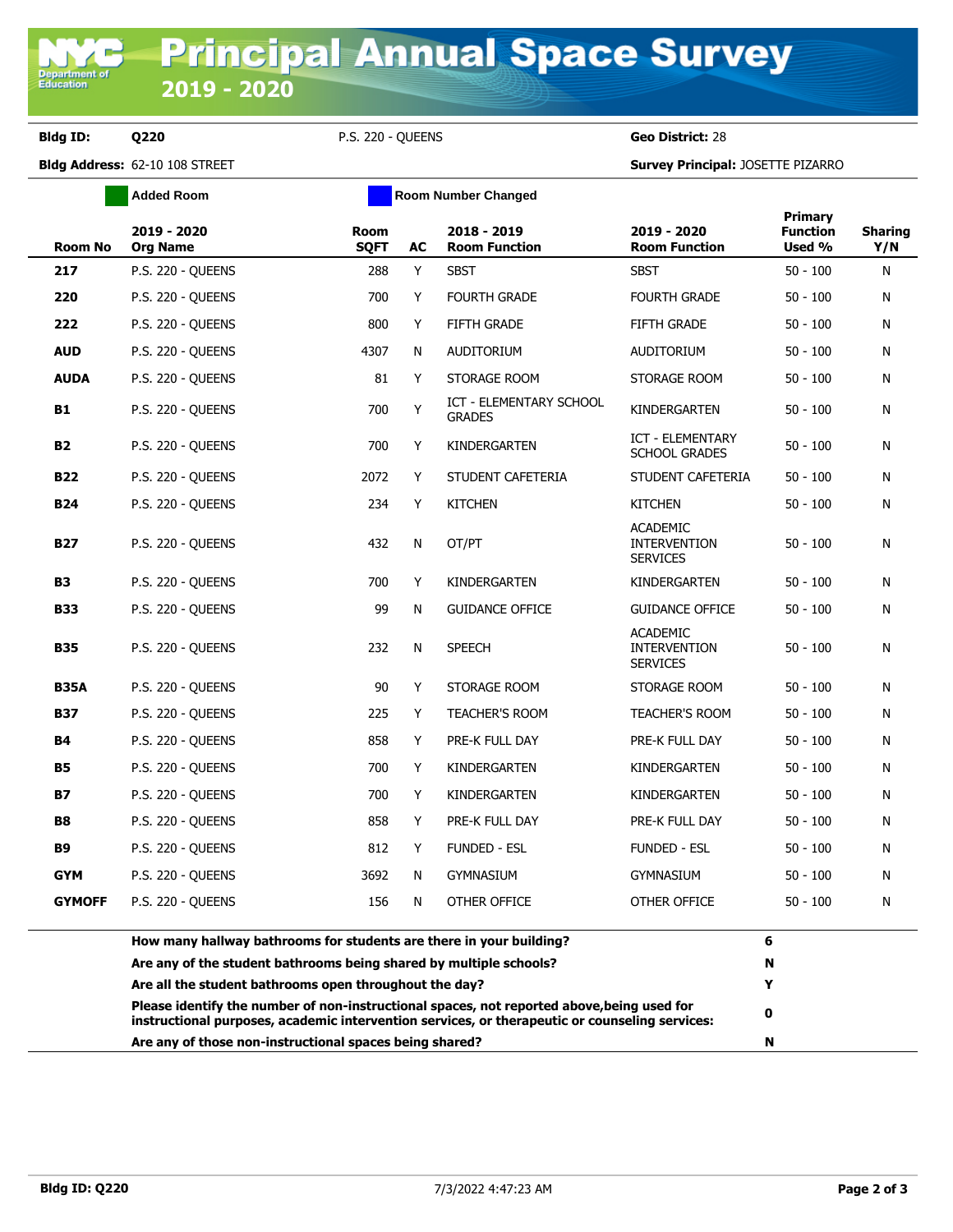**Bldg ID: Q220** P.S. 220 - QUEENS **Geo District:** 28

**Bldg Address:** 62-10 108 STREET **Survey Principal:** JOSETTE PIZARRO

|                | <b>Added Room</b>                                                                                                            | <b>Room Number Changed</b> |           |                                          |                                                           |                                             |                       |
|----------------|------------------------------------------------------------------------------------------------------------------------------|----------------------------|-----------|------------------------------------------|-----------------------------------------------------------|---------------------------------------------|-----------------------|
| <b>Room No</b> | 2019 - 2020<br><b>Org Name</b>                                                                                               | <b>Room</b><br><b>SQFT</b> | <b>AC</b> | 2018 - 2019<br><b>Room Function</b>      | 2019 - 2020<br><b>Room Function</b>                       | <b>Primary</b><br><b>Function</b><br>Used % | <b>Sharing</b><br>Y/N |
| 217            | <b>P.S. 220 - OUEENS</b>                                                                                                     | 288                        | Y         | <b>SBST</b>                              | <b>SBST</b>                                               | $50 - 100$                                  | N                     |
| 220            | <b>P.S. 220 - QUEENS</b>                                                                                                     | 700                        | Y         | <b>FOURTH GRADE</b>                      | <b>FOURTH GRADE</b>                                       | $50 - 100$                                  | N                     |
| 222            | <b>P.S. 220 - QUEENS</b>                                                                                                     | 800                        | Y         | <b>FIFTH GRADE</b>                       | <b>FIFTH GRADE</b>                                        | $50 - 100$                                  | N                     |
| <b>AUD</b>     | P.S. 220 - QUEENS                                                                                                            | 4307                       | N         | <b>AUDITORIUM</b>                        | <b>AUDITORIUM</b>                                         | $50 - 100$                                  | N                     |
| <b>AUDA</b>    | <b>P.S. 220 - QUEENS</b>                                                                                                     | 81                         | Y         | STORAGE ROOM                             | STORAGE ROOM                                              | $50 - 100$                                  | N                     |
| <b>B1</b>      | <b>P.S. 220 - OUEENS</b>                                                                                                     | 700                        | Y         | ICT - ELEMENTARY SCHOOL<br><b>GRADES</b> | KINDERGARTEN                                              | $50 - 100$                                  | N                     |
| <b>B2</b>      | P.S. 220 - QUEENS                                                                                                            | 700                        | Y         | KINDERGARTEN                             | ICT - ELEMENTARY<br><b>SCHOOL GRADES</b>                  | $50 - 100$                                  | N                     |
| <b>B22</b>     | <b>P.S. 220 - QUEENS</b>                                                                                                     | 2072                       | Y         | STUDENT CAFETERIA                        | STUDENT CAFETERIA                                         | $50 - 100$                                  | N                     |
| <b>B24</b>     | <b>P.S. 220 - QUEENS</b>                                                                                                     | 234                        | Y         | <b>KITCHEN</b>                           | <b>KITCHEN</b>                                            | $50 - 100$                                  | N                     |
| <b>B27</b>     | <b>P.S. 220 - QUEENS</b>                                                                                                     | 432                        | N         | OT/PT                                    | <b>ACADEMIC</b><br><b>INTERVENTION</b><br><b>SERVICES</b> | $50 - 100$                                  | N                     |
| <b>B3</b>      | <b>P.S. 220 - QUEENS</b>                                                                                                     | 700                        | Y         | KINDERGARTEN                             | KINDERGARTEN                                              | $50 - 100$                                  | N                     |
| <b>B33</b>     | <b>P.S. 220 - QUEENS</b>                                                                                                     | 99                         | N         | <b>GUIDANCE OFFICE</b>                   | <b>GUIDANCE OFFICE</b>                                    | $50 - 100$                                  | N                     |
| <b>B35</b>     | <b>P.S. 220 - OUEENS</b>                                                                                                     | 232                        | N         | <b>SPEECH</b>                            | <b>ACADEMIC</b><br><b>INTERVENTION</b><br><b>SERVICES</b> | $50 - 100$                                  | N                     |
| <b>B35A</b>    | <b>P.S. 220 - OUEENS</b>                                                                                                     | 90                         | Y         | STORAGE ROOM                             | STORAGE ROOM                                              | $50 - 100$                                  | N                     |
| <b>B37</b>     | <b>P.S. 220 - OUEENS</b>                                                                                                     | 225                        | Y         | <b>TEACHER'S ROOM</b>                    | <b>TEACHER'S ROOM</b>                                     | $50 - 100$                                  | N                     |
| <b>B4</b>      | <b>P.S. 220 - QUEENS</b>                                                                                                     | 858                        | Y         | PRE-K FULL DAY                           | PRE-K FULL DAY                                            | $50 - 100$                                  | N                     |
| <b>B5</b>      | <b>P.S. 220 - QUEENS</b>                                                                                                     | 700                        | Y         | KINDERGARTEN                             | KINDERGARTEN                                              | $50 - 100$                                  | N                     |
| <b>B7</b>      | <b>P.S. 220 - QUEENS</b>                                                                                                     | 700                        | Y         | KINDERGARTEN                             | KINDERGARTEN                                              | $50 - 100$                                  | N                     |
| <b>B8</b>      | <b>P.S. 220 - QUEENS</b>                                                                                                     | 858                        | Y         | PRE-K FULL DAY                           | PRE-K FULL DAY                                            | $50 - 100$                                  | N                     |
| <b>B9</b>      | <b>P.S. 220 - QUEENS</b>                                                                                                     | 812                        | Y         | <b>FUNDED - ESL</b>                      | <b>FUNDED - ESL</b>                                       | $50 - 100$                                  | N                     |
| <b>GYM</b>     | <b>P.S. 220 - OUEENS</b>                                                                                                     | 3692                       | N         | <b>GYMNASIUM</b>                         | <b>GYMNASIUM</b>                                          | $50 - 100$                                  | N                     |
| <b>GYMOFF</b>  | <b>P.S. 220 - QUEENS</b>                                                                                                     | 156                        | N         | OTHER OFFICE                             | OTHER OFFICE                                              | $50 - 100$                                  | N                     |
|                | How many hallway bathrooms for students are there in your building?                                                          | 6                          |           |                                          |                                                           |                                             |                       |
|                | Are any of the student bathrooms being shared by multiple schools?<br>Are all the student bathrooms open throughout the day? |                            | N<br>Y    |                                          |                                                           |                                             |                       |

**Please identify the number of non-instructional spaces, not reported above,being used for** 

**instructional purposes, academic intervention services, or therapeutic or counseling services: <sup>0</sup> Are any of those non-instructional spaces being shared? N**